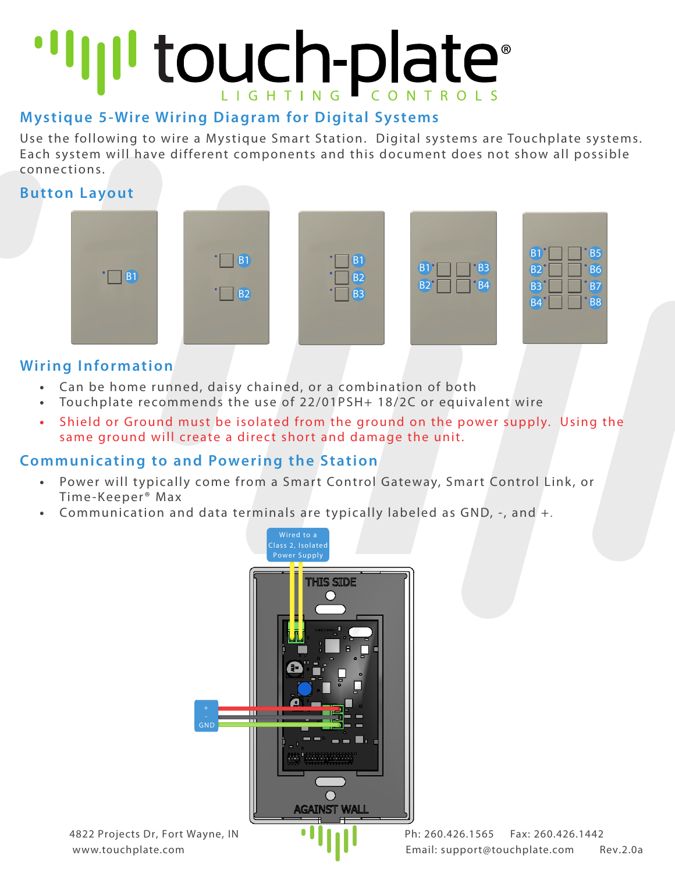# "IIII touch-plate"

# **Mystique 5-Wire Wiring Diagram for Digital Systems**

Use the following to wire a Mystique Smart Station. Digital systems are Touchplate systems. Each system will have different components and this document does not show all possible connec tions.

### **Button Layout**



## **Wiring Information**

- **•** Can be home runned, daisy chained, or a combination of both
- **•** Touchplate recommends the use of 22/01PSH+ 18/2C or equivalent wire
- **•** Shield or Ground must be isolated from the ground on the power supply. Using the same ground will create a direct short and damage the unit.

### **Communicating to and Powering the Station**

- **•** Power will typically come from a Smart Control Gateway, Smart Control Link, or Time-Keeper® Max
- **•** Communication and data terminals are typically labeled as GND, -, and +.